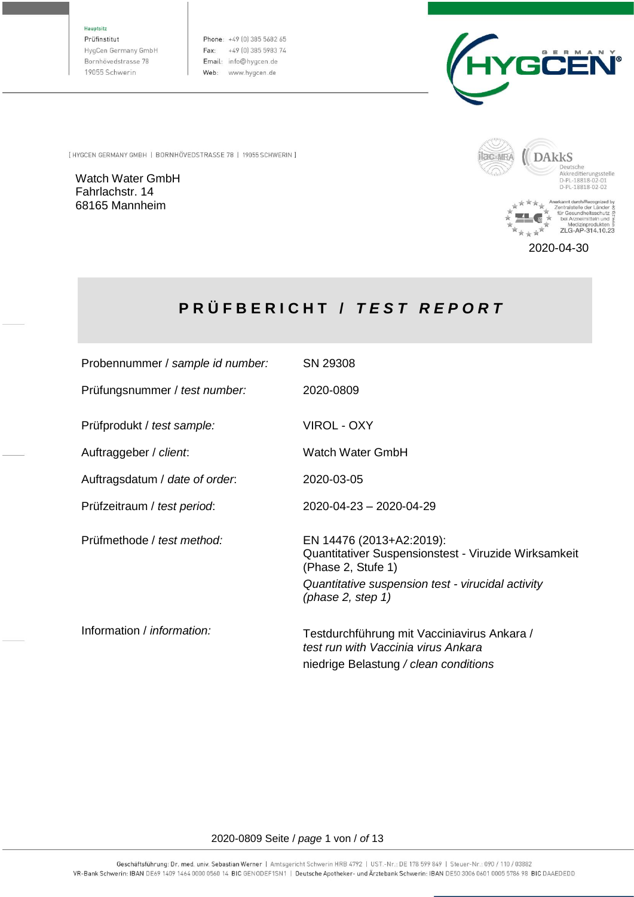Hauptsitz

Prüfinstitut HygCen Germany GmbH Bornhövedstrasse 78 19055 Schwerin

Phone: +49 (0) 385 5682 65 Fax: +49 (0) 385 5983 74 Email: info@hygcen.de Web: www.hygcen.de



[ HYGCEN GERMANY GMBH | BORNHÖVEDSTRASSE 78 | 19055 SCHWERIN ]

Watch Water GmbH Fahrlachstr. 14 68165 Mannheim



 $*$   $*$ 

2020-04-30

Medizinprodukten §<br>ZLG-AP-314.10.23

# **P R Ü F B E R I C H T /** *T E S T R E P O R T*

| Probennummer / sample id number: | SN 29308                                                                                                                                                                               |
|----------------------------------|----------------------------------------------------------------------------------------------------------------------------------------------------------------------------------------|
| Prüfungsnummer / test number:    | 2020-0809                                                                                                                                                                              |
| Prüfprodukt / test sample:       | <b>VIROL - OXY</b>                                                                                                                                                                     |
| Auftraggeber / client.           | Watch Water GmbH                                                                                                                                                                       |
| Auftragsdatum / date of order.   | 2020-03-05                                                                                                                                                                             |
| Prüfzeitraum / test period:      | 2020-04-23 - 2020-04-29                                                                                                                                                                |
| Prüfmethode / test method:       | EN 14476 (2013+A2:2019):<br>Quantitativer Suspensionstest - Viruzide Wirksamkeit<br>(Phase 2, Stufe 1)<br>Quantitative suspension test - virucidal activity<br>(phase $2$ , step $1$ ) |
| Information / information:       | Testdurchführung mit Vacciniavirus Ankara /<br>test run with Vaccinia virus Ankara<br>niedrige Belastung / clean conditions                                                            |

#### 2020-0809 Seite / *page* 1 von / *of* 13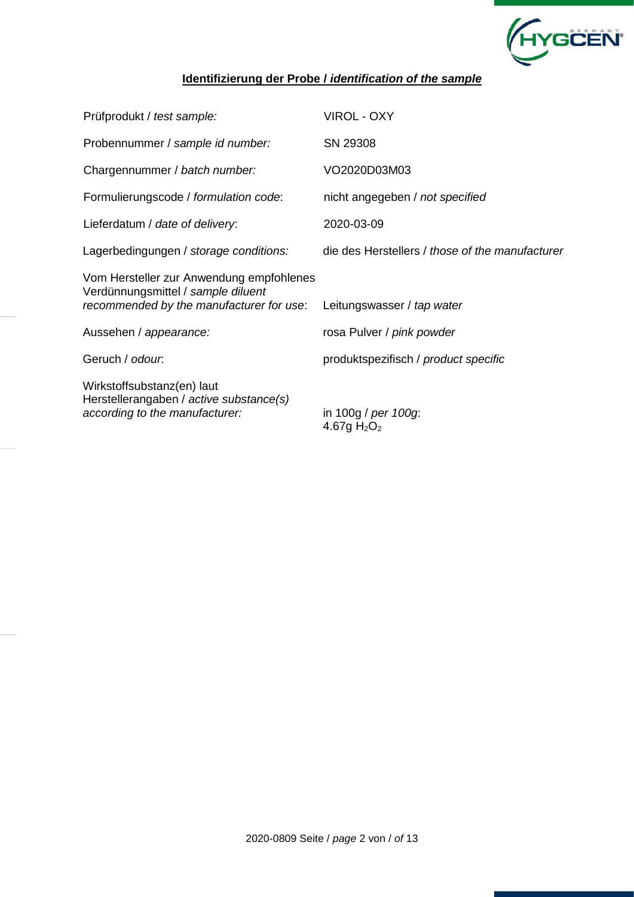

# **Identifizierung der Probe /** *identification of the sample*

| Prüfprodukt / test sample:                                                                                                 | <b>VIROL - OXY</b>                              |
|----------------------------------------------------------------------------------------------------------------------------|-------------------------------------------------|
| Probennummer / sample id number:                                                                                           | SN 29308                                        |
| Chargennummer / batch number:                                                                                              | VO2020D03M03                                    |
| Formulierungscode / formulation code:                                                                                      | nicht angegeben / not specified                 |
| Lieferdatum / date of delivery:                                                                                            | 2020-03-09                                      |
| Lagerbedingungen / storage conditions:                                                                                     | die des Herstellers / those of the manufacturer |
| Vom Hersteller zur Anwendung empfohlenes<br>Verdünnungsmittel / sample diluent<br>recommended by the manufacturer for use: | Leitungswasser / tap water                      |
| Aussehen / appearance:                                                                                                     | rosa Pulver / pink powder                       |
| Geruch / odour.                                                                                                            | produktspezifisch / product specific            |
| Wirkstoffsubstanz(en) laut<br>Herstellerangaben / active substance(s)<br>according to the manufacturer:                    | in 100g / per 100g:<br>4.67g $H_2O_2$           |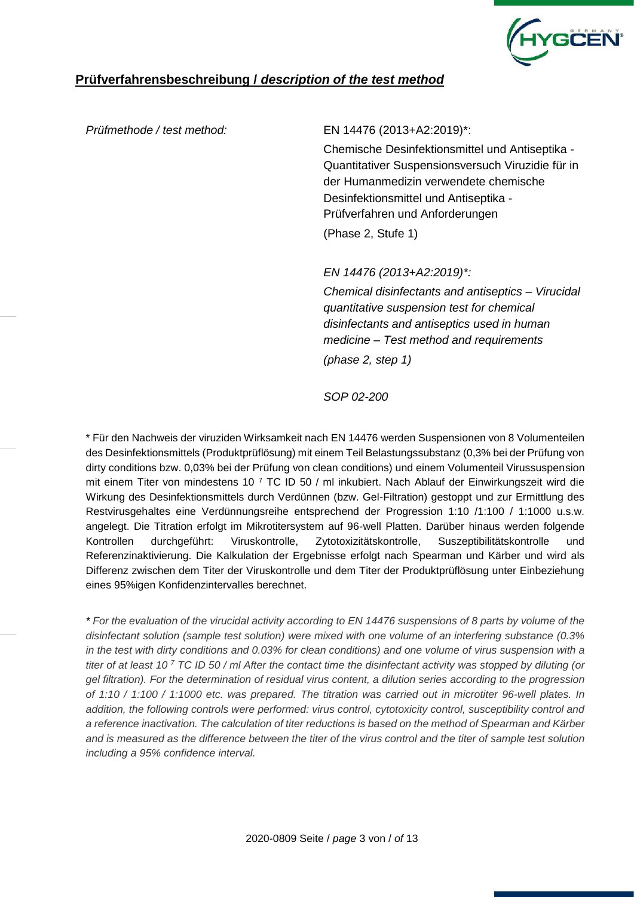

# **Prüfverfahrensbeschreibung /** *description of the test method*

#### *Prüfmethode / test method:* EN 14476 (2013+A2:2019)\*:

Chemische Desinfektionsmittel und Antiseptika - Quantitativer Suspensionsversuch Viruzidie für in der Humanmedizin verwendete chemische Desinfektionsmittel und Antiseptika - Prüfverfahren und Anforderungen (Phase 2, Stufe 1)

*EN 14476 (2013+A2:2019)\*:*

*Chemical disinfectants and antiseptics – Virucidal quantitative suspension test for chemical disinfectants and antiseptics used in human medicine – Test method and requirements (phase 2, step 1)*

*SOP 02-200*

\* Für den Nachweis der viruziden Wirksamkeit nach EN 14476 werden Suspensionen von 8 Volumenteilen des Desinfektionsmittels (Produktprüflösung) mit einem Teil Belastungssubstanz (0,3% bei der Prüfung von dirty conditions bzw. 0,03% bei der Prüfung von clean conditions) und einem Volumenteil Virussuspension mit einem Titer von mindestens 10 <sup>7</sup> TC ID 50 / ml inkubiert. Nach Ablauf der Einwirkungszeit wird die Wirkung des Desinfektionsmittels durch Verdünnen (bzw. Gel-Filtration) gestoppt und zur Ermittlung des Restvirusgehaltes eine Verdünnungsreihe entsprechend der Progression 1:10 /1:100 / 1:1000 u.s.w. angelegt. Die Titration erfolgt im Mikrotitersystem auf 96-well Platten. Darüber hinaus werden folgende Kontrollen durchgeführt: Viruskontrolle, Zytotoxizitätskontrolle, Suszeptibilitätskontrolle und Referenzinaktivierung. Die Kalkulation der Ergebnisse erfolgt nach Spearman und Kärber und wird als Differenz zwischen dem Titer der Viruskontrolle und dem Titer der Produktprüflösung unter Einbeziehung eines 95%igen Konfidenzintervalles berechnet.

*\* For the evaluation of the virucidal activity according to EN 14476 suspensions of 8 parts by volume of the disinfectant solution (sample test solution) were mixed with one volume of an interfering substance (0.3% in the test with dirty conditions and 0.03% for clean conditions) and one volume of virus suspension with a titer of at least 10 <sup>7</sup> TC ID 50 / ml After the contact time the disinfectant activity was stopped by diluting (or gel filtration). For the determination of residual virus content, a dilution series according to the progression of 1:10 / 1:100 / 1:1000 etc. was prepared. The titration was carried out in microtiter 96-well plates. In addition, the following controls were performed: virus control, cytotoxicity control, susceptibility control and a reference inactivation. The calculation of titer reductions is based on the method of Spearman and Kärber and is measured as the difference between the titer of the virus control and the titer of sample test solution including a 95% confidence interval.*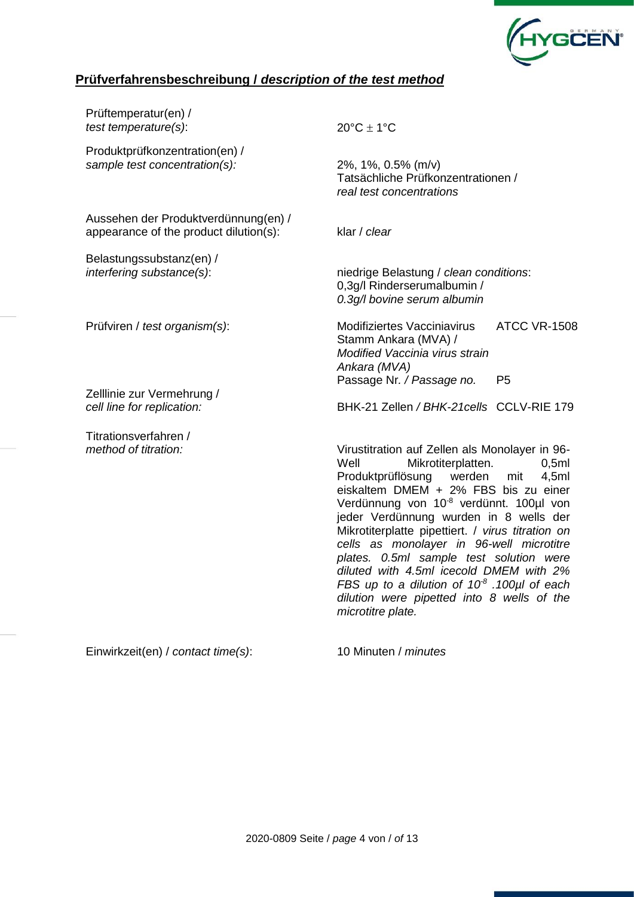

# **Prüfverfahrensbeschreibung /** *description of the test method*

| Prüftemperatur(en) /<br>test temperature(s):                                   | $20^{\circ}$ C $\pm$ 1°C                                                                                                             |
|--------------------------------------------------------------------------------|--------------------------------------------------------------------------------------------------------------------------------------|
| Produktprüfkonzentration(en) /<br>sample test concentration(s):                | 2%, 1%, 0.5% (m/v)<br>Tatsächliche Prüfkonzentrationen /<br>real test concentrations                                                 |
| Aussehen der Produktverdünnung(en) /<br>appearance of the product dilution(s): | klar / clear                                                                                                                         |
| Belastungssubstanz(en) /<br>interfering substance(s):                          | niedrige Belastung / clean conditions:<br>0,3g/l Rinderserumalbumin /<br>0.3g/l bovine serum albumin                                 |
| Prüfviren / test organism(s):                                                  | <b>ATCC VR-1508</b><br><b>Modifiziertes Vacciniavirus</b><br>Stamm Ankara (MVA) /<br>Modified Vaccinia virus strain<br>Ankara (MVA)  |
| Zelllinie zur Vermehrung /<br>cell line for replication:                       | P <sub>5</sub><br>Passage Nr. / Passage no.<br>BHK-21 Zellen / BHK-21 cells CCLV-RIE 179                                             |
| Titrationsverfahren /<br>method of titration:                                  | Virustitration auf Zellen als Monolayer in 96-<br>Well<br>Mikrotiterplatten.<br>0,5ml<br>Produktprüflösung<br>4,5ml<br>werden<br>mit |

Einwirkzeit(en) / *contact time(s)*: 10 Minuten / *minutes*

*microtitre plate.* 

eiskaltem DMEM + 2% FBS bis zu einer Verdünnung von 10-8 verdünnt. 100µl von jeder Verdünnung wurden in 8 wells der Mikrotiterplatte pipettiert. / *virus titration on cells as monolayer in 96-well microtitre plates. 0.5ml sample test solution were diluted with 4.5ml icecold DMEM with 2% FBS up to a dilution of 10-8 .100µl of each dilution were pipetted into 8 wells of the*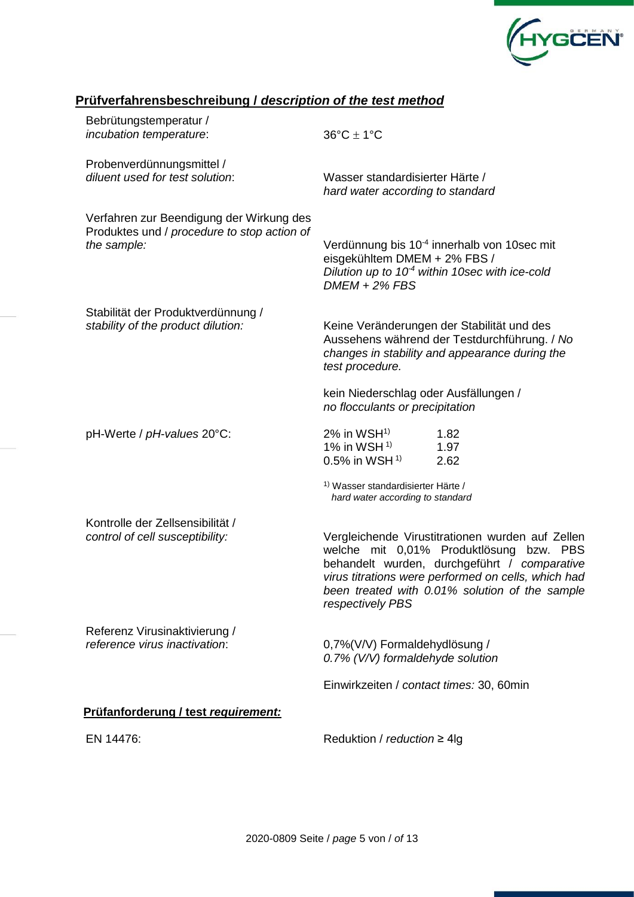

# **Prüfverfahrensbeschreibung /** *description of the test method*

| Bebrütungstemperatur /<br>incubation temperature:                                                      | $36^{\circ}$ C $\pm$ 1°C                                                                  |                                                                                                                                                                                                                                                      |
|--------------------------------------------------------------------------------------------------------|-------------------------------------------------------------------------------------------|------------------------------------------------------------------------------------------------------------------------------------------------------------------------------------------------------------------------------------------------------|
| Probenverdünnungsmittel /<br>diluent used for test solution:                                           | Wasser standardisierter Härte /<br>hard water according to standard                       |                                                                                                                                                                                                                                                      |
| Verfahren zur Beendigung der Wirkung des<br>Produktes und / procedure to stop action of<br>the sample: | eisgekühltem DMEM + 2% FBS /<br>$DMEM + 2\% FBS$                                          | Verdünnung bis 10 <sup>-4</sup> innerhalb von 10sec mit<br>Dilution up to $10-4$ within 10sec with ice-cold                                                                                                                                          |
| Stabilität der Produktverdünnung /<br>stability of the product dilution:                               | test procedure.                                                                           | Keine Veränderungen der Stabilität und des<br>Aussehens während der Testdurchführung. / No<br>changes in stability and appearance during the                                                                                                         |
|                                                                                                        | kein Niederschlag oder Ausfällungen /<br>no flocculants or precipitation                  |                                                                                                                                                                                                                                                      |
| pH-Werte / pH-values 20°C:                                                                             | $2\%$ in WSH <sup>1)</sup><br>1% in WSH $1$ <sup>1)</sup><br>$0.5\%$ in WSH <sup>1)</sup> | 1.82<br>1.97<br>2.62                                                                                                                                                                                                                                 |
|                                                                                                        | <sup>1)</sup> Wasser standardisierter Härte /<br>hard water according to standard         |                                                                                                                                                                                                                                                      |
| Kontrolle der Zellsensibilität /<br>control of cell susceptibility:                                    | respectively PBS                                                                          | Vergleichende Virustitrationen wurden auf Zellen<br>welche mit 0,01% Produktlösung bzw. PBS<br>behandelt wurden, durchgeführt / comparative<br>virus titrations were performed on cells, which had<br>been treated with 0.01% solution of the sample |
| Referenz Virusinaktivierung /<br>reference virus inactivation:                                         | 0,7%(V/V) Formaldehydlösung /<br>0.7% (V/V) formaldehyde solution                         |                                                                                                                                                                                                                                                      |
|                                                                                                        | Einwirkzeiten / contact times: 30, 60min                                                  |                                                                                                                                                                                                                                                      |
| Prüfanforderung / test requirement:                                                                    |                                                                                           |                                                                                                                                                                                                                                                      |
| EN 14476:                                                                                              | Reduktion / $reduction \geq 4$ lg                                                         |                                                                                                                                                                                                                                                      |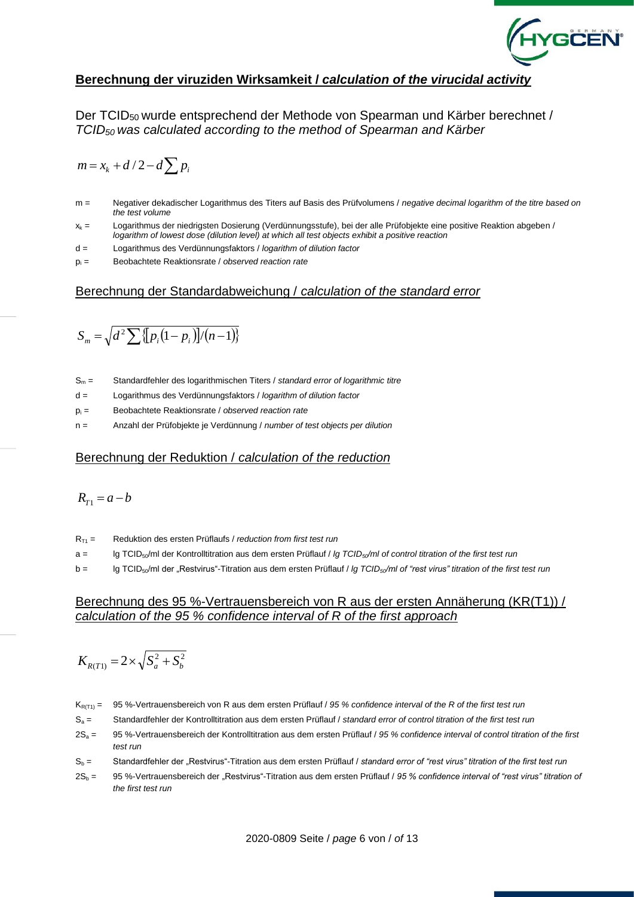

### **Berechnung der viruziden Wirksamkeit /** *calculation of the virucidal activity*

Der TCID50 wurde entsprechend der Methode von Spearman und Kärber berechnet / *TCID50 was calculated according to the method of Spearman and Kärber*

$$
m = x_k + d/2 - d \sum p_i
$$

- m = Negativer dekadischer Logarithmus des Titers auf Basis des Prüfvolumens / *negative decimal logarithm of the titre based on the test volume*
- $x_k$  = Logarithmus der niedrigsten Dosierung (Verdünnungsstufe), bei der alle Prüfobjekte eine positive Reaktion abgeben / *logarithm of lowest dose (dilution level) at which all test objects exhibit a positive reaction*
- d = Logarithmus des Verdünnungsfaktors / *logarithm of dilution factor*
- p<sup>i</sup> = Beobachtete Reaktionsrate / *observed reaction rate*

#### Berechnung der Standardabweichung / *calculation of the standard error*

$$
S_m = \sqrt{d^2 \sum \{p_i(1-p_i)\}/(n-1)\}}
$$

- S<sup>m</sup> = Standardfehler des logarithmischen Titers / *standard error of logarithmic titre*
- d = Logarithmus des Verdünnungsfaktors / *logarithm of dilution factor*
- p<sup>i</sup> = Beobachtete Reaktionsrate / *observed reaction rate*
- n = Anzahl der Prüfobjekte je Verdünnung / *number of test objects per dilution*

#### Berechnung der Reduktion / *calculation of the reduction*

$$
R_{T1}=a-b
$$

- RT1 = Reduktion des ersten Prüflaufs / *reduction from first test run*
- a = lg TCID50/ml der Kontrolltitration aus dem ersten Prüflauf / *lg TCID50/ml of control titration of the first test run*
- b = lg TCID50/ml der "Restvirus"-Titration aus dem ersten Prüflauf / *lg TCID50/ml of "rest virus" titration of the first test run*

#### Berechnung des 95 %-Vertrauensbereich von R aus der ersten Annäherung (KR(T1)) / *calculation of the 95 % confidence interval of R of the first approach*

$$
K_{R(T1)} = 2 \times \sqrt{S_a^2 + S_b^2}
$$

- KR(T1) = 95 %-Vertrauensbereich von R aus dem ersten Prüflauf / *95 % confidence interval of the R of the first test run*
- S<sup>a</sup> = Standardfehler der Kontrolltitration aus dem ersten Prüflauf / *standard error of control titration of the first test run*
- 2S<sup>a</sup> = 95 %-Vertrauensbereich der Kontrolltitration aus dem ersten Prüflauf / *95 % confidence interval of control titration of the first test run*
- S<sup>b</sup> = Standardfehler der "Restvirus"-Titration aus dem ersten Prüflauf / *standard error of "rest virus" titration of the first test run*
- 2S<sup>b</sup> = 95 %-Vertrauensbereich der "Restvirus"-Titration aus dem ersten Prüflauf / *95 % confidence interval of "rest virus" titration of the first test run*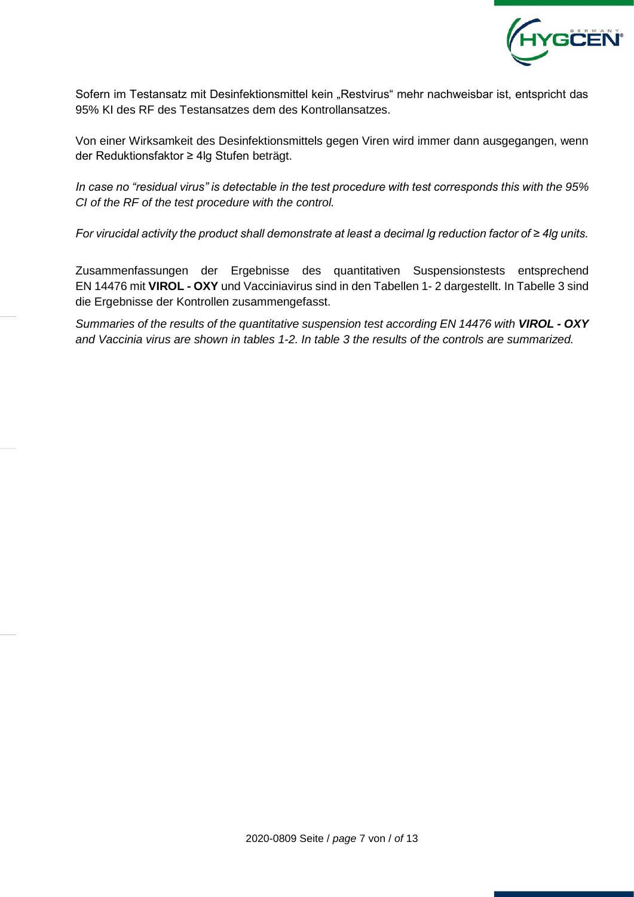

Sofern im Testansatz mit Desinfektionsmittel kein "Restvirus" mehr nachweisbar ist, entspricht das 95% KI des RF des Testansatzes dem des Kontrollansatzes.

Von einer Wirksamkeit des Desinfektionsmittels gegen Viren wird immer dann ausgegangen, wenn der Reduktionsfaktor ≥ 4lg Stufen beträgt.

*In case no "residual virus" is detectable in the test procedure with test corresponds this with the 95% CI of the RF of the test procedure with the control.*

*For virucidal activity the product shall demonstrate at least a decimal lg reduction factor of ≥ 4lg units.*

Zusammenfassungen der Ergebnisse des quantitativen Suspensionstests entsprechend EN 14476 mit **VIROL - OXY** und Vacciniavirus sind in den Tabellen 1- 2 dargestellt. In Tabelle 3 sind die Ergebnisse der Kontrollen zusammengefasst.

*Summaries of the results of the quantitative suspension test according EN 14476 with VIROL - OXY and Vaccinia virus are shown in tables 1-2. In table 3 the results of the controls are summarized.*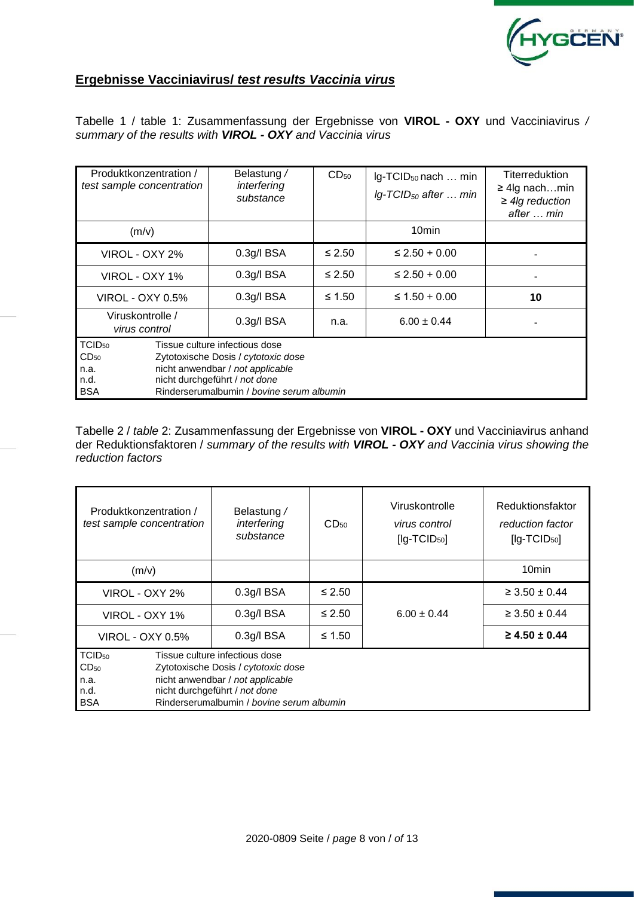

# **Ergebnisse Vacciniavirus/** *test results Vaccinia virus*

Tabelle 1 / table 1: Zusammenfassung der Ergebnisse von **VIROL - OXY** und Vacciniavirus */ summary of the results with VIROL - OXY and Vaccinia virus*

| Produktkonzentration /<br>test sample concentration                  |  | Belastung /<br>interfering<br>substance                                                                                                                                                 |             | Ig-TCID <sub>50</sub> nach  min<br>$lg$ -TCID <sub>50</sub> after  min | Titerreduktion<br>$\geq$ 4lg nachmin<br>$\geq$ 4lg reduction<br>after  min |
|----------------------------------------------------------------------|--|-----------------------------------------------------------------------------------------------------------------------------------------------------------------------------------------|-------------|------------------------------------------------------------------------|----------------------------------------------------------------------------|
| (m/v)                                                                |  |                                                                                                                                                                                         |             | 10 <sub>min</sub>                                                      |                                                                            |
| VIROL - OXY 2%                                                       |  | $0.3g/I$ BSA                                                                                                                                                                            | $≤ 2.50$    | $\leq$ 2.50 + 0.00                                                     |                                                                            |
| VIROL - OXY 1%                                                       |  | $0.3g/I$ BSA                                                                                                                                                                            | $≤ 2.50$    | $\leq$ 2.50 + 0.00                                                     |                                                                            |
| <b>VIROL - OXY 0.5%</b>                                              |  | $0.3g$ /l BSA                                                                                                                                                                           | $\leq 1.50$ | ≤ $1.50 + 0.00$                                                        | 10                                                                         |
| Viruskontrolle /<br>virus control                                    |  | $0.3g$ /l BSA                                                                                                                                                                           | n.a.        | $6.00 \pm 0.44$                                                        |                                                                            |
| TCID <sub>50</sub><br>CD <sub>50</sub><br>n.a.<br>n.d.<br><b>BSA</b> |  | Tissue culture infectious dose<br>Zytotoxische Dosis / cytotoxic dose<br>nicht anwendbar / not applicable<br>nicht durchgeführt / not done<br>Rinderserumalbumin / bovine serum albumin |             |                                                                        |                                                                            |

Tabelle 2 / *table* 2: Zusammenfassung der Ergebnisse von **VIROL - OXY** und Vacciniavirus anhand der Reduktionsfaktoren / *summary of the results with VIROL - OXY and Vaccinia virus showing the reduction factors* 

| Produktkonzentration /<br>test sample concentration                  | Belastung /<br>interfering<br>substance                                                                                                                                                 | $CD_{50}$ | Viruskontrolle<br>virus control<br>$[lg-TCID50]$ | Reduktionsfaktor<br>reduction factor<br>$[lg-TCID50]$ |
|----------------------------------------------------------------------|-----------------------------------------------------------------------------------------------------------------------------------------------------------------------------------------|-----------|--------------------------------------------------|-------------------------------------------------------|
| (m/v)                                                                |                                                                                                                                                                                         |           |                                                  | 10 <sub>min</sub>                                     |
| VIROL - OXY 2%                                                       | $0.3g/I$ BSA                                                                                                                                                                            | $≤ 2.50$  |                                                  | $\geq 3.50 \pm 0.44$                                  |
| VIROL - OXY 1%                                                       | 0.3q/IBSA                                                                                                                                                                               | $≤ 2.50$  | $6.00 \pm 0.44$                                  | $\geq 3.50 \pm 0.44$                                  |
| <b>VIROL - OXY 0.5%</b>                                              | $0.3g/I$ BSA                                                                                                                                                                            | ≤ 1.50    |                                                  | $\geq 4.50 \pm 0.44$                                  |
| TCID <sub>50</sub><br>CD <sub>50</sub><br>n.a.<br>n.d.<br><b>BSA</b> | Tissue culture infectious dose<br>Zytotoxische Dosis / cytotoxic dose<br>nicht anwendbar / not applicable<br>nicht durchgeführt / not done<br>Rinderserumalbumin / bovine serum albumin |           |                                                  |                                                       |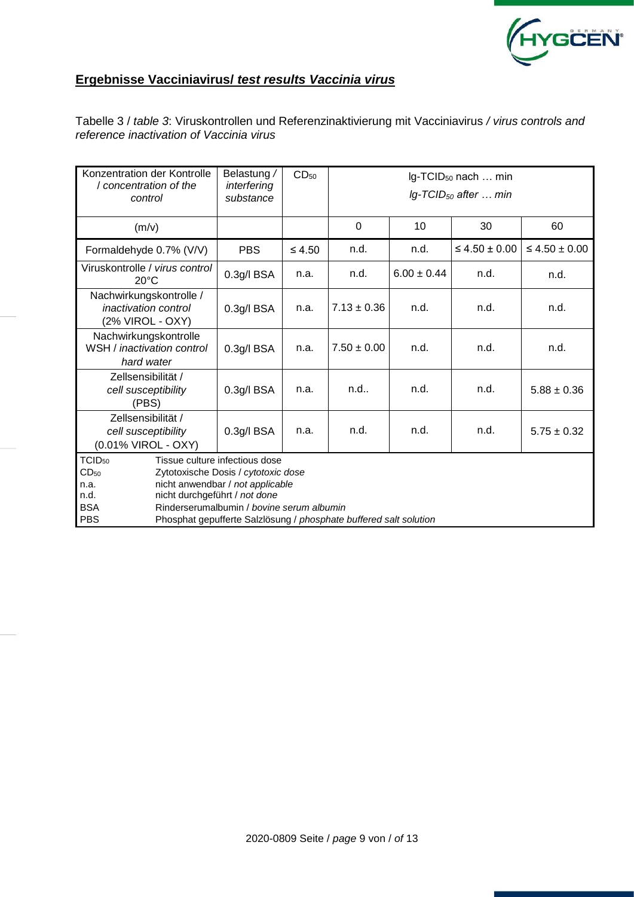

# **Ergebnisse Vacciniavirus/** *test results Vaccinia virus*

Tabelle 3 / *table 3*: Viruskontrollen und Referenzinaktivierung mit Vacciniavirus */ virus controls and reference inactivation of Vaccinia virus*

| Konzentration der Kontrolle<br>/ concentration of the<br>control                   |                                                                                | Belastung /<br>interfering<br>substance                                                                                                                                                                                     | CD <sub>50</sub> | Ig-TCID <sub>50</sub> nach  min<br>$lg$ -TCID <sub>50</sub> after  min |                 |                      |                      |  |  |  |  |  |  |  |
|------------------------------------------------------------------------------------|--------------------------------------------------------------------------------|-----------------------------------------------------------------------------------------------------------------------------------------------------------------------------------------------------------------------------|------------------|------------------------------------------------------------------------|-----------------|----------------------|----------------------|--|--|--|--|--|--|--|
| (m/v)                                                                              |                                                                                |                                                                                                                                                                                                                             |                  | $\Omega$                                                               | 10              | 30                   | 60                   |  |  |  |  |  |  |  |
| Formaldehyde 0.7% (V/V)                                                            |                                                                                | <b>PBS</b>                                                                                                                                                                                                                  | $\leq 4.50$      | n.d.                                                                   | n.d.            | $\leq 4.50 \pm 0.00$ | $\leq 4.50 \pm 0.00$ |  |  |  |  |  |  |  |
| Viruskontrolle / virus control<br>$20^{\circ}$ C                                   |                                                                                | 0.3g/l BSA                                                                                                                                                                                                                  | n.a.             | n.d.                                                                   | $6.00 \pm 0.44$ | n.d.                 | n.d.                 |  |  |  |  |  |  |  |
| Nachwirkungskontrolle /<br><i>inactivation control</i><br>(2% VIROL - OXY)         |                                                                                | $0.3g$ /l BSA                                                                                                                                                                                                               | n.a.             | $7.13 \pm 0.36$                                                        | n.d.            | n.d.                 | n.d.                 |  |  |  |  |  |  |  |
| Nachwirkungskontrolle<br>WSH / inactivation control<br>hard water                  |                                                                                | 0.3g/l BSA                                                                                                                                                                                                                  | n.a.             | $7.50 \pm 0.00$                                                        | n.d.            | n.d.                 | n.d.                 |  |  |  |  |  |  |  |
| Zellsensibilität /<br>cell susceptibility<br>(PBS)                                 |                                                                                | 0.3g/l BSA                                                                                                                                                                                                                  | n.a.             | n.d.                                                                   | n.d.            | n.d.                 | $5.88 \pm 0.36$      |  |  |  |  |  |  |  |
|                                                                                    | Zellsensibilität /<br>0.3g/l BSA<br>cell susceptibility<br>(0.01% VIROL - OXY) |                                                                                                                                                                                                                             | n.a.             | n.d.                                                                   | n.d.            | n.d.                 | $5.75 \pm 0.32$      |  |  |  |  |  |  |  |
| TCID <sub>50</sub><br>CD <sub>50</sub><br>n.a.<br>n.d.<br><b>BSA</b><br><b>PBS</b> | nicht durchgeführt / not done                                                  | Tissue culture infectious dose<br>Zytotoxische Dosis / cytotoxic dose<br>nicht anwendbar / not applicable<br>Rinderserumalbumin / bovine serum albumin<br>Phosphat gepufferte Salzlösung / phosphate buffered salt solution |                  |                                                                        |                 |                      |                      |  |  |  |  |  |  |  |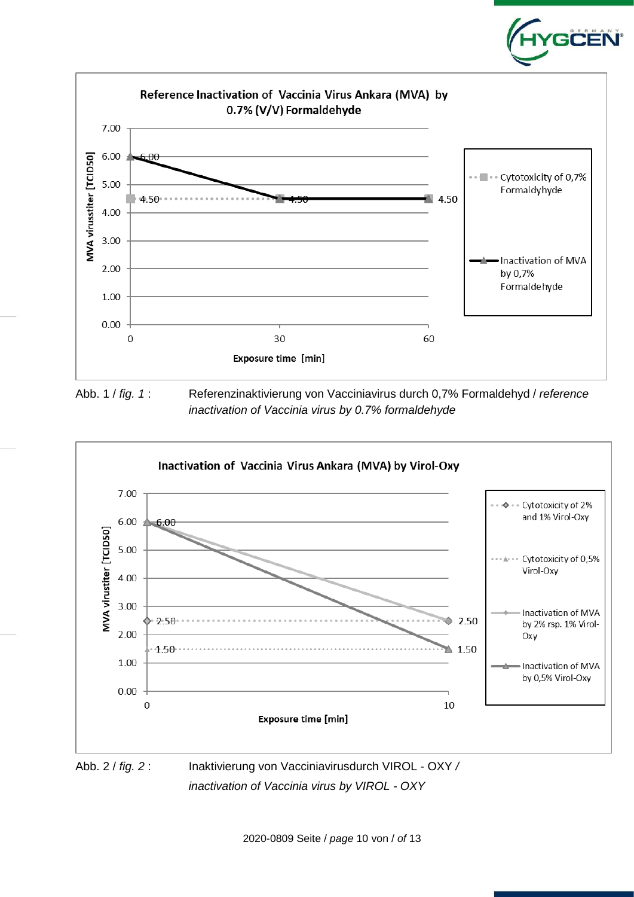

Abb. 1 / *fig. 1* : Referenzinaktivierung von Vacciniavirus durch 0,7% Formaldehyd / *reference inactivation of Vaccinia virus by 0.7% formaldehyde*

**GĊËÑ** 



*inactivation of Vaccinia virus by VIROL - OXY*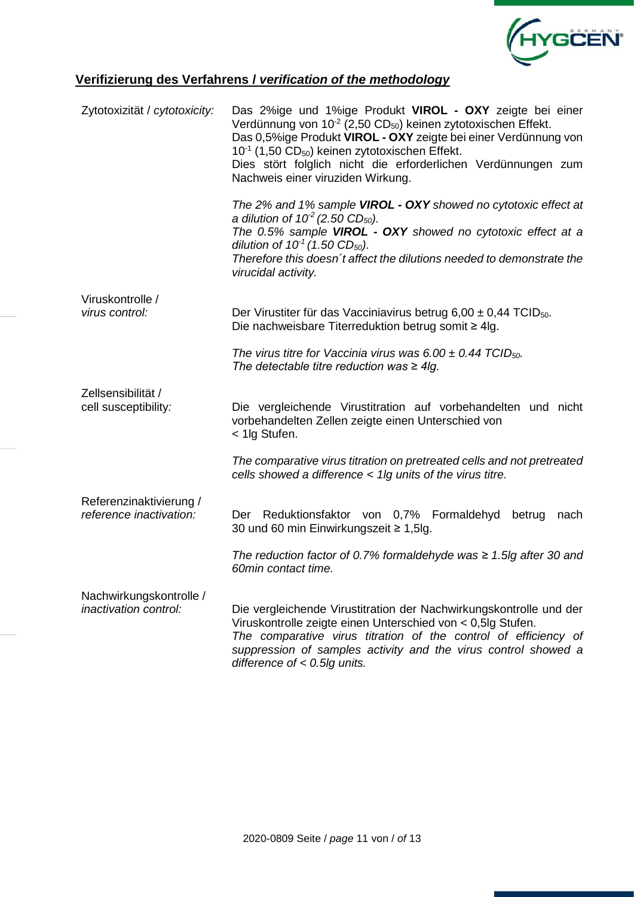

# **Verifizierung des Verfahrens /** *verification of the methodology*

| Zytotoxizität / cytotoxicity:                      | Das 2%ige und 1%ige Produkt VIROL - OXY zeigte bei einer<br>Verdünnung von 10 <sup>-2</sup> (2,50 CD <sub>50</sub> ) keinen zytotoxischen Effekt.<br>Das 0,5%ige Produkt VIROL - OXY zeigte bei einer Verdünnung von<br>$10^{-1}$ (1,50 CD <sub>50</sub> ) keinen zytotoxischen Effekt.<br>Dies stört folglich nicht die erforderlichen Verdünnungen zum<br>Nachweis einer viruziden Wirkung. |
|----------------------------------------------------|-----------------------------------------------------------------------------------------------------------------------------------------------------------------------------------------------------------------------------------------------------------------------------------------------------------------------------------------------------------------------------------------------|
|                                                    | The 2% and 1% sample VIROL - OXY showed no cytotoxic effect at<br>a dilution of $10^2$ (2.50 CD <sub>50</sub> ).<br>The 0.5% sample VIROL - OXY showed no cytotoxic effect at a<br>dilution of $10^1$ (1.50 CD <sub>50</sub> ).<br>Therefore this doesn't affect the dilutions needed to demonstrate the<br>virucidal activity.                                                               |
| Viruskontrolle /<br>virus control:                 | Der Virustiter für das Vacciniavirus betrug 6,00 $\pm$ 0,44 TCID <sub>50</sub> .<br>Die nachweisbare Titerreduktion betrug somit $\geq 4$ lg.                                                                                                                                                                                                                                                 |
|                                                    | The virus titre for Vaccinia virus was 6.00 $\pm$ 0.44 TCID <sub>50</sub> .<br>The detectable titre reduction was $\geq 4$ lg.                                                                                                                                                                                                                                                                |
| Zellsensibilität /<br>cell susceptibility:         | Die vergleichende Virustitration auf vorbehandelten und nicht<br>vorbehandelten Zellen zeigte einen Unterschied von<br>< 1lg Stufen.                                                                                                                                                                                                                                                          |
|                                                    | The comparative virus titration on pretreated cells and not pretreated<br>cells showed a difference < 1lg units of the virus titre.                                                                                                                                                                                                                                                           |
| Referenzinaktivierung /<br>reference inactivation: | Der Reduktionsfaktor von 0,7% Formaldehyd<br>betrug<br>nach<br>30 und 60 min Einwirkungszeit ≥ 1,5lg.                                                                                                                                                                                                                                                                                         |
|                                                    | The reduction factor of 0.7% formaldehyde was $\geq$ 1.5lg after 30 and<br>60min contact time.                                                                                                                                                                                                                                                                                                |
| Nachwirkungskontrolle /<br>inactivation control:   | Die vergleichende Virustitration der Nachwirkungskontrolle und der<br>Viruskontrolle zeigte einen Unterschied von < 0,5lg Stufen.<br>The comparative virus titration of the control of efficiency of<br>suppression of samples activity and the virus control showed a<br>difference of $< 0.5$ lg units.                                                                                     |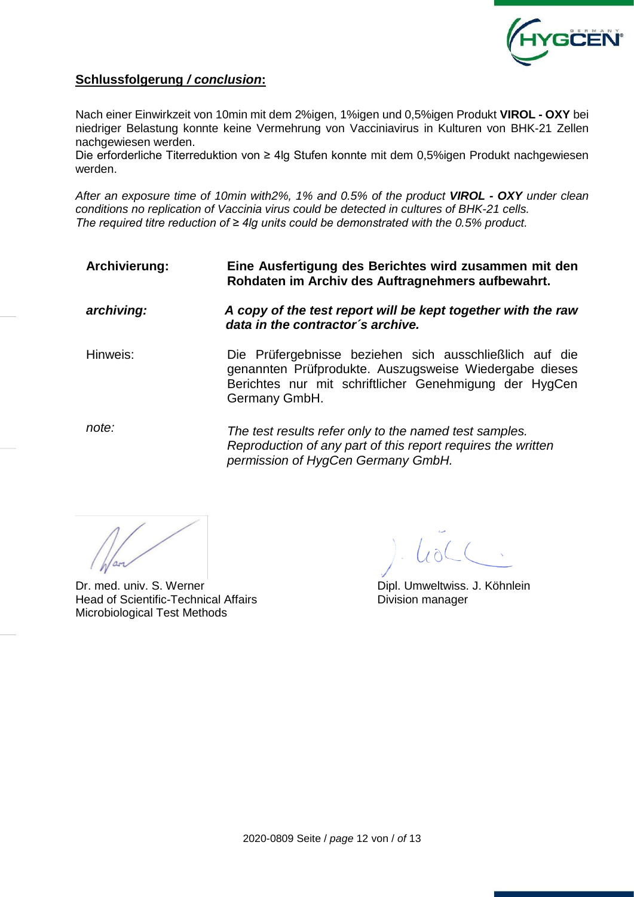

## **Schlussfolgerung** */ conclusion***:**

Nach einer Einwirkzeit von 10min mit dem 2%igen, 1%igen und 0,5%igen Produkt **VIROL - OXY** bei niedriger Belastung konnte keine Vermehrung von Vacciniavirus in Kulturen von BHK-21 Zellen nachgewiesen werden.

Die erforderliche Titerreduktion von ≥ 4lg Stufen konnte mit dem 0,5%igen Produkt nachgewiesen werden.

*After an exposure time of 10min with2%, 1% and 0.5% of the product VIROL - OXY under clean conditions no replication of Vaccinia virus could be detected in cultures of BHK-21 cells. The required titre reduction of ≥ 4lg units could be demonstrated with the 0.5% product.*

**Archivierung: Eine Ausfertigung des Berichtes wird zusammen mit den Rohdaten im Archiv des Auftragnehmers aufbewahrt.**

*archiving: A copy of the test report will be kept together with the raw data in the contractor´s archive.*

Hinweis: Die Prüfergebnisse beziehen sich ausschließlich auf die genannten Prüfprodukte. Auszugsweise Wiedergabe dieses Berichtes nur mit schriftlicher Genehmigung der HygCen Germany GmbH.

*note: The test results refer only to the named test samples. Reproduction of any part of this report requires the written permission of HygCen Germany GmbH.*

Dr. med. univ. S. Werner **Dipl. Umweltwiss. J. Köhnlein** Head of Scientific-Technical Affairs **Exercise Scientific-Technical Affairs** Division manager Microbiological Test Methods